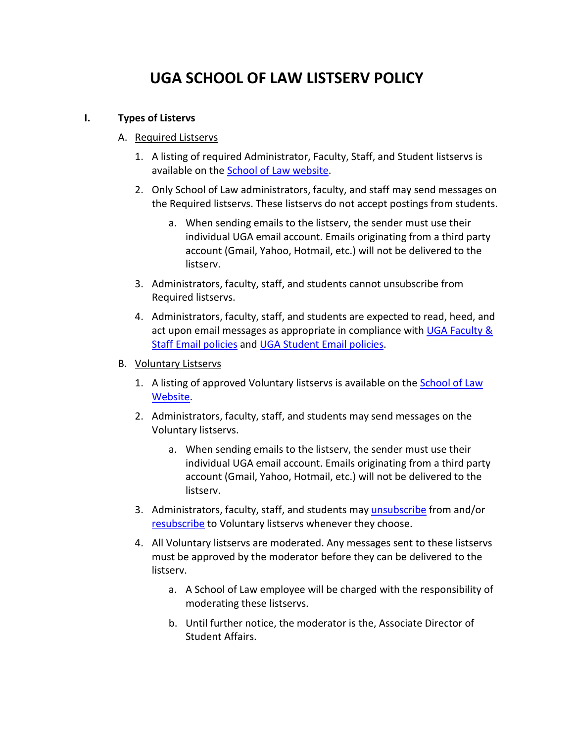## **UGA SCHOOL OF LAW LISTSERV POLICY**

## **I. Types of Listervs**

- A. Required Listservs
	- 1. A listing of required Administrator, Faculty, Staff, and Student listservs is available on the [School of Law website.](http://www.law.uga.edu/official-georgia-law-listservs)
	- 2. Only School of Law administrators, faculty, and staff may send messages on the Required listservs. These listservs do not accept postings from students.
		- a. When sending emails to the listserv, the sender must use their individual UGA email account. Emails originating from a third party account (Gmail, Yahoo, Hotmail, etc.) will not be delivered to the listserv.
	- 3. Administrators, faculty, staff, and students cannot unsubscribe from Required listservs.
	- 4. Administrators, faculty, staff, and students are expected to read, heed, and act upon email messages as appropriate in compliance with [UGA Faculty &](https://ugamail.uga.edu/faculty_staff_email/)  [Staff Email policies](https://ugamail.uga.edu/faculty_staff_email/) and [UGA Student Email policies.](https://ugamail.uga.edu/student_email/)
- B. Voluntary Listservs
	- 1. A listing of approved Voluntary listservs is available on the School of Law [Website.](http://law.uga.edu/georgia-law-e-communications#Lawstu)
	- 2. Administrators, faculty, staff, and students may send messages on the Voluntary listservs.
		- a. When sending emails to the listserv, the sender must use their individual UGA email account. Emails originating from a third party account (Gmail, Yahoo, Hotmail, etc.) will not be delivered to the listserv.
	- 3. Administrators, faculty, staff, and students may [unsubscribe](http://law.uga.edu/georgia-law-e-communications#unsub) from and/or [resubscribe](http://law.uga.edu/georgia-law-e-communications#resub) to Voluntary listservs whenever they choose.
	- 4. All Voluntary listservs are moderated. Any messages sent to these listservs must be approved by the moderator before they can be delivered to the listserv.
		- a. A School of Law employee will be charged with the responsibility of moderating these listservs.
		- b. Until further notice, the moderator is the, Associate Director of Student Affairs.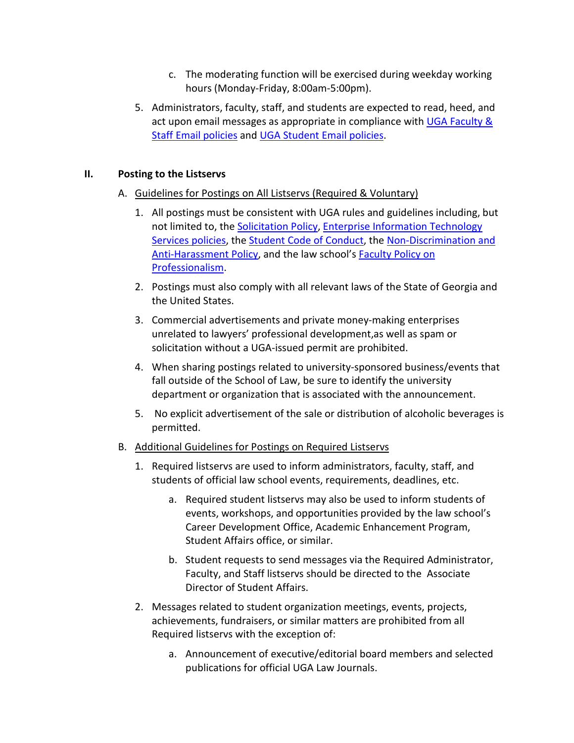- c. The moderating function will be exercised during weekday working hours (Monday-Friday, 8:00am-5:00pm).
- 5. Administrators, faculty, staff, and students are expected to read, heed, and act upon email messages as appropriate in compliance with [UGA Faculty &](https://ugamail.uga.edu/faculty_staff_email/)  [Staff Email policies](https://ugamail.uga.edu/faculty_staff_email/) and [UGA Student Email policies.](https://ugamail.uga.edu/student_email/)

## **II. Posting to the Listservs**

- A. Guidelines for Postings on All Listservs (Required & Voluntary)
	- 1. All postings must be consistent with UGA rules and guidelines including, but not limited to, the [Solicitation Policy,](http://policies.uga.edu/Solicitation/) Enterprise Information Technology Services policies, th[e Student Code of Conduct,](https://conduct.uga.edu/content_page/code-of-conduct) th[e Non-Discrimination and](https://eoo.uga.edu/policies/non-discrimination-anti-harassment-policy)  [Anti-Harassment Policy,](https://eoo.uga.edu/policies/non-discrimination-anti-harassment-policy) and the law school's [Faculty Policy on](http://www.law.uga.edu/student-handbook#professionalism)  [Professionalism.](http://www.law.uga.edu/student-handbook#professionalism)
	- 2. Postings must also comply with all relevant laws of the State of Georgia and the United States.
	- 3. Commercial advertisements and private money-making enterprises unrelated to lawyers' professional development,as well as spam or solicitation without a UGA-issued permit are prohibited.
	- 4. When sharing postings related to university-sponsored business/events that fall outside of the School of Law, be sure to identify the university department or organization that is associated with the announcement.
	- 5. No explicit advertisement of the sale or distribution of alcoholic beverages is permitted.
- B. Additional Guidelines for Postings on Required Listservs
	- 1. Required listservs are used to inform administrators, faculty, staff, and students of official law school events, requirements, deadlines, etc.
		- a. Required student listservs may also be used to inform students of events, workshops, and opportunities provided by the law school's Career Development Office, Academic Enhancement Program, Student Affairs office, or similar.
		- b. Student requests to send messages via the Required Administrator, Faculty, and Staff listservs should be directed to the Associate Director of Student Affairs.
	- 2. Messages related to student organization meetings, events, projects, achievements, fundraisers, or similar matters are prohibited from all Required listservs with the exception of:
		- a. Announcement of executive/editorial board members and selected publications for official UGA Law Journals.